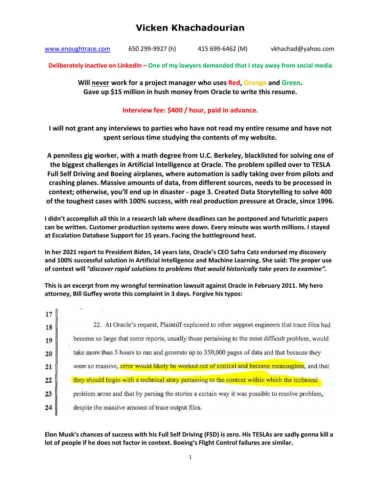www.enoughtrace.com 650 299-9927 (h) 415 699-6462 (M) vkhachad@yahoo.com

**Deliberately inactive on LinkedIn – One of my lawyers demanded that I stay away from social media** 

**Will never work for a project manager who uses Red, Orange and Green. Gave up \$15 million in hush money from Oracle to write this resume.** 

### **Interview fee: \$400 / hour, paid in advance.**

**I will not grant any interviews to parties who have not read my entire resume and have not spent serious time studying the contents of my website.** 

**A penniless gig worker, with a math degree from U.C. Berkeley, blacklisted for solving one of the biggest challenges in Artificial Intelligence at Oracle. The problem spilled over to TESLA Full Self Driving and Boeing airplanes, where automation is sadly taking over from pilots and crashing planes. Massive amounts of data, from different sources, needs to be processed in context; otherwise, you'll end up in disaster - page 3. Created Data Storytelling to solve 400 of the toughest cases with 100% success, with real production pressure at Oracle, since 1996.** 

**I didn't accomplish all this in a research lab where deadlines can be postponed and futuristic papers can be written. Customer production systems were down. Every minute was worth millions. I stayed at Escalation Database Support for 15 years. Facing the battleground heat.** 

**In her 2021 report to President Biden, 14 years late, Oracle's CEO Safra Catz endorsed my discovery and 100% successful solution in Artificial Intelligence and Machine Learning. She said: The proper use of context will** *"discover rapid solutions to problems that would historically take years to examine".*

**This is an excerpt from my wrongful termination lawsuit against Oracle in February 2011. My hero attorney, Bill Guffey wrote this complaint in 3 days. Forgive his typos:** 

| 17 |                                                                                                  |
|----|--------------------------------------------------------------------------------------------------|
| 18 | 22. At Oracle's request, Plaintiff explained to other support engineers that trace files had     |
| 19 | become so large that some reports, usually those pertaining to the most difficult problem, would |
| 20 | take more than 5 hours to run and generate up to 350,000 pages of data and that because they     |
| 21 | were so massive, error would likely be worked out of context and become meaningless, and that    |
| 22 | they should begin with a technical story pertaining to the context within which the technical    |
| 23 | problem arose and that by parsing the stories a certain way it was possible to resolve problem,  |
| 24 | despite the massive amount of trace output files.                                                |
|    |                                                                                                  |

### **Elon Musk's chances of success with his Full Self Driving (FSD) is zero. His TESLAs are sadly gonna kill a lot of people if he does not factor in context. Boeing's Flight Control failures are similar.**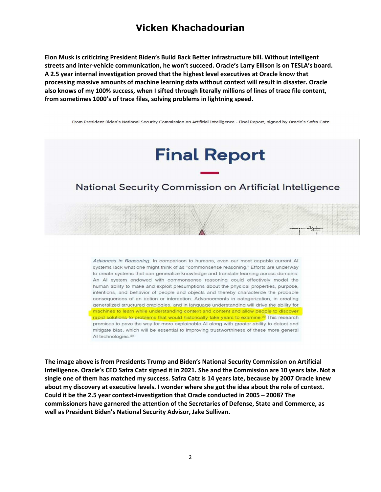**Elon Musk is criticizing President Biden's Build Back Better infrastructure bill. Without intelligent streets and inter-vehicle communication, he won't succeed. Oracle's Larry Ellison is on TESLA's board. A 2.5 year internal investigation proved that the highest level executives at Oracle know that processing massive amounts of machine learning data without context will result in disaster. Oracle also knows of my 100% success, when I sifted through literally millions of lines of trace file content, from sometimes 1000's of trace files, solving problems in lightning speed.** 

From President Biden's National Security Commission on Artificial Intelligence - Final Report, signed by Oracle's Safra Catz

# **Final Report**

## National Security Commission on Artificial Intelligence

Advances in Reasoning. In comparison to humans, even our most capable current AI systems lack what one might think of as "commonsense reasoning." Efforts are underway to create systems that can generalize knowledge and translate learning across domains. An AI system endowed with commonsense reasoning could effectively model the human ability to make and exploit presumptions about the physical properties, purpose, intentions, and behavior of people and objects and thereby characterize the probable consequences of an action or interaction. Advancements in categorization, in creating generalized structured ontologies, and in language understanding will drive the ability for machines to learn while understanding context and content and allow people to discover rapid solutions to problems that would historically take years to examine.<sup>22</sup> This research promises to pave the way for more explainable AI along with greater ability to detect and mitigate bias, which will be essential to improving trustworthiness of these more general AI technologies.<sup>28</sup>

**The image above is from Presidents Trump and Biden's National Security Commission on Artificial Intelligence. Oracle's CEO Safra Catz signed it in 2021. She and the Commission are 10 years late. Not a single one of them has matched my success. Safra Catz is 14 years late, because by 2007 Oracle knew about my discovery at executive levels. I wonder where she got the idea about the role of context. Could it be the 2.5 year context-investigation that Oracle conducted in 2005 – 2008? The commissioners have garnered the attention of the Secretaries of Defense, State and Commerce, as well as President Biden's National Security Advisor, Jake Sullivan.**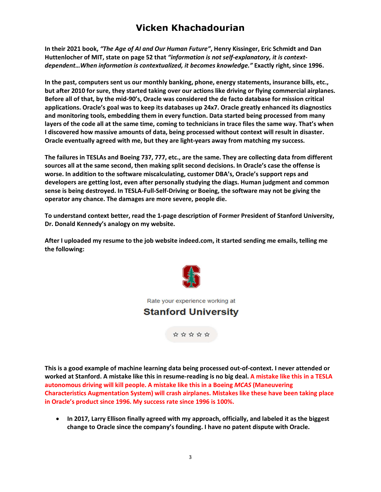**In their 2021 book,** *"The Age of AI and Our Human Future"***, Henry Kissinger, Eric Schmidt and Dan Huttenlocher of MIT, state on page 52 that** *"information is not self-explanatory, it is contextdependent…When information is contextualized, it becomes knowledge."* **Exactly right, since 1996.** 

**In the past, computers sent us our monthly banking, phone, energy statements, insurance bills, etc., but after 2010 for sure, they started taking over our actions like driving or flying commercial airplanes. Before all of that, by the mid-90's, Oracle was considered the de facto database for mission critical applications. Oracle's goal was to keep its databases up 24x7. Oracle greatly enhanced its diagnostics and monitoring tools, embedding them in every function. Data started being processed from many layers of the code all at the same time, coming to technicians in trace files the same way. That's when I discovered how massive amounts of data, being processed without context will result in disaster. Oracle eventually agreed with me, but they are light-years away from matching my success.** 

**The failures in TESLAs and Boeing 737, 777, etc., are the same. They are collecting data from different sources all at the same second, then making split second decisions. In Oracle's case the offense is worse. In addition to the software miscalculating, customer DBA's, Oracle's support reps and developers are getting lost, even after personally studying the diags. Human judgment and common sense is being destroyed. In TESLA-Full-Self-Driving or Boeing, the software may not be giving the operator any chance. The damages are more severe, people die.** 

**To understand context better, read the 1-page description of Former President of Stanford University, Dr. Donald Kennedy's analogy on my website.** 

**After I uploaded my resume to the job website indeed.com, it started sending me emails, telling me the following:** 



Rate your experience working at

## **Stanford University**

\*\*\*\*\*

**This is a good example of machine learning data being processed out-of-context. I never attended or worked at Stanford. A mistake like this in resume-reading is no big deal. A mistake like this in a TESLA autonomous driving will kill people. A mistake like this in a Boeing** *MCAS* **(Maneuvering Characteristics Augmentation System) will crash airplanes. Mistakes like these have been taking place in Oracle's product since 1996. My success rate since 1996 is 100%.**

 **In 2017, Larry Ellison finally agreed with my approach, officially, and labeled it as the biggest change to Oracle since the company's founding. I have no patent dispute with Oracle.**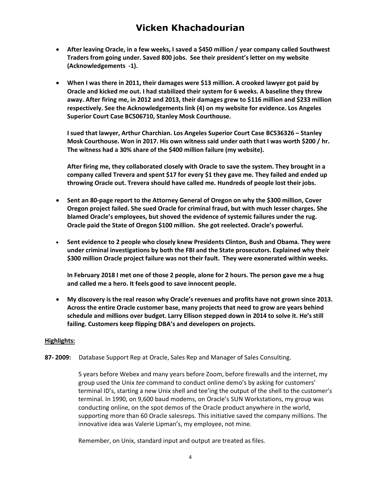- **After leaving Oracle, in a few weeks, I saved a \$450 million / year company called Southwest Traders from going under. Saved 800 jobs. See their president's letter on my website (Acknowledgements -1).**
- **When I was there in 2011, their damages were \$13 million. A crooked lawyer got paid by Oracle and kicked me out. I had stabilized their system for 6 weeks. A baseline they threw away. After firing me, in 2012 and 2013, their damages grew to \$116 million and \$233 million respectively. See the Acknowledgements link (4) on my website for evidence. Los Angeles Superior Court Case BC506710, Stanley Mosk Courthouse.**

**I sued that lawyer, Arthur Charchian. Los Angeles Superior Court Case BC536326 – Stanley Mosk Courthouse. Won in 2017. His own witness said under oath that I was worth \$200 / hr. The witness had a 30% share of the \$400 million failure (my website).** 

**After firing me, they collaborated closely with Oracle to save the system. They brought in a company called Trevera and spent \$17 for every \$1 they gave me. They failed and ended up throwing Oracle out. Trevera should have called me. Hundreds of people lost their jobs.** 

- **Sent an 80-page report to the Attorney General of Oregon on why the \$300 million, Cover Oregon project failed. She sued Oracle for criminal fraud, but with much lesser charges. She blamed Oracle's employees, but shoved the evidence of systemic failures under the rug. Oracle paid the State of Oregon \$100 million. She got reelected. Oracle's powerful.**
- **Sent evidence to 2 people who closely knew Presidents Clinton, Bush and Obama. They were under criminal investigations by both the FBI and the State prosecutors. Explained why their \$300 million Oracle project failure was not their fault. They were exonerated within weeks.**

**In February 2018 I met one of those 2 people, alone for 2 hours. The person gave me a hug and called me a hero. It feels good to save innocent people.** 

 **My discovery is the real reason why Oracle's revenues and profits have not grown since 2013. Across the entire Oracle customer base, many projects that need to grow are years behind schedule and millions over budget. Larry Ellison stepped down in 2014 to solve it. He's still failing. Customers keep flipping DBA's and developers on projects.** 

#### **Highlights:**

**87- 2009:** Database Support Rep at Oracle, Sales Rep and Manager of Sales Consulting.

5 years before Webex and many years before Zoom, before firewalls and the internet, my group used the Unix *tee* command to conduct online demo's by asking for customers' terminal ID's, starting a new Unix shell and tee'ing the output of the shell to the customer's terminal. In 1990, on 9,600 baud modems, on Oracle's SUN Workstations, my group was conducting online, on the spot demos of the Oracle product anywhere in the world, supporting more than 60 Oracle salesreps. This initiative saved the company millions. The innovative idea was Valerie Lipman's, my employee, not mine.

Remember, on Unix, standard input and output are treated as files.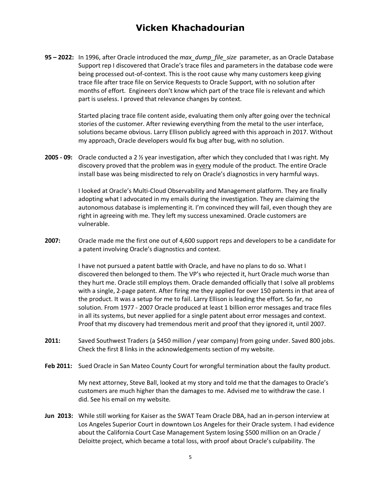**95 – 2022:** In 1996, after Oracle introduced the *max\_dump\_file\_size* parameter, as an Oracle Database Support rep I discovered that Oracle's trace files and parameters in the database code were being processed out-of-context. This is the root cause why many customers keep giving trace file after trace file on Service Requests to Oracle Support, with no solution after months of effort. Engineers don't know which part of the trace file is relevant and which part is useless. I proved that relevance changes by context.

> Started placing trace file content aside, evaluating them only after going over the technical stories of the customer. After reviewing everything from the metal to the user interface, solutions became obvious. Larry Ellison publicly agreed with this approach in 2017. Without my approach, Oracle developers would fix bug after bug, with no solution.

**2005 - 09:** Oracle conducted a 2 ½ year investigation, after which they concluded that I was right. My discovery proved that the problem was in every module of the product. The entire Oracle install base was being misdirected to rely on Oracle's diagnostics in very harmful ways.

> I looked at Oracle's Multi-Cloud Observability and Management platform. They are finally adopting what I advocated in my emails during the investigation. They are claiming the autonomous database is implementing it. I'm convinced they will fail, even though they are right in agreeing with me. They left my success unexamined. Oracle customers are vulnerable.

**2007:** Oracle made me the first one out of 4,600 support reps and developers to be a candidate for a patent involving Oracle's diagnostics and context.

> I have not pursued a patent battle with Oracle, and have no plans to do so. What I discovered then belonged to them. The VP's who rejected it, hurt Oracle much worse than they hurt me. Oracle still employs them. Oracle demanded officially that I solve all problems with a single, 2-page patent. After firing me they applied for over 150 patents in that area of the product. It was a setup for me to fail. Larry Ellison is leading the effort. So far, no solution. From 1977 - 2007 Oracle produced at least 1 billion error messages and trace files in all its systems, but never applied for a single patent about error messages and context. Proof that my discovery had tremendous merit and proof that they ignored it, until 2007.

- **2011:** Saved Southwest Traders (a \$450 million / year company) from going under. Saved 800 jobs. Check the first 8 links in the acknowledgements section of my website.
- Feb 2011: Sued Oracle in San Mateo County Court for wrongful termination about the faulty product.

My next attorney, Steve Ball, looked at my story and told me that the damages to Oracle's customers are much higher than the damages to me. Advised me to withdraw the case. I did. See his email on my website.

**Jun 2013:** While still working for Kaiser as the SWAT Team Oracle DBA, had an in-person interview at Los Angeles Superior Court in downtown Los Angeles for their Oracle system. I had evidence about the California Court Case Management System losing \$500 million on an Oracle / Deloitte project, which became a total loss, with proof about Oracle's culpability. The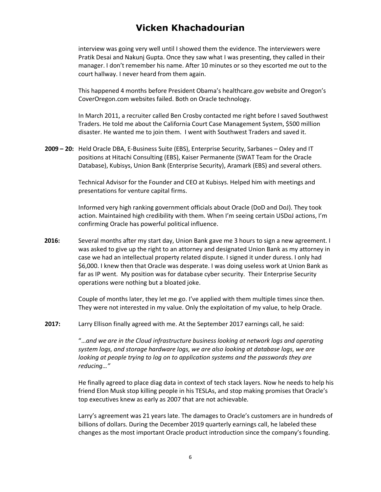interview was going very well until I showed them the evidence. The interviewers were Pratik Desai and Nakunj Gupta. Once they saw what I was presenting, they called in their manager. I don't remember his name. After 10 minutes or so they escorted me out to the court hallway. I never heard from them again.

This happened 4 months before President Obama's healthcare.gov website and Oregon's CoverOregon.com websites failed. Both on Oracle technology.

In March 2011, a recruiter called Ben Crosby contacted me right before I saved Southwest Traders. He told me about the California Court Case Management System, \$500 million disaster. He wanted me to join them. I went with Southwest Traders and saved it.

**2009 – 20:** Held Oracle DBA, E-Business Suite (EBS), Enterprise Security, Sarbanes – Oxley and IT positions at Hitachi Consulting (EBS), Kaiser Permanente (SWAT Team for the Oracle Database), Kubisys, Union Bank (Enterprise Security), Aramark (EBS) and several others.

> Technical Advisor for the Founder and CEO at Kubisys. Helped him with meetings and presentations for venture capital firms.

Informed very high ranking government officials about Oracle (DoD and DoJ). They took action. Maintained high credibility with them. When I'm seeing certain USDoJ actions, I'm confirming Oracle has powerful political influence.

 **2016:** Several months after my start day, Union Bank gave me 3 hours to sign a new agreement. I was asked to give up the right to an attorney and designated Union Bank as my attorney in case we had an intellectual property related dispute. I signed it under duress. I only had \$6,000. I knew then that Oracle was desperate. I was doing useless work at Union Bank as far as IP went. My position was for database cyber security. Their Enterprise Security operations were nothing but a bloated joke.

> Couple of months later, they let me go. I've applied with them multiple times since then. They were not interested in my value. Only the exploitation of my value, to help Oracle.

**2017:** Larry Ellison finally agreed with me. At the September 2017 earnings call, he said:

"…*and we are in the Cloud infrastructure business looking at network logs and operating system logs, and storage hardware logs, we are also looking at database logs, we are looking at people trying to log on to application systems and the passwords they are reducing…"* 

He finally agreed to place diag data in context of tech stack layers. Now he needs to help his friend Elon Musk stop killing people in his TESLAs, and stop making promises that Oracle's top executives knew as early as 2007 that are not achievable.

Larry's agreement was 21 years late. The damages to Oracle's customers are in hundreds of billions of dollars. During the December 2019 quarterly earnings call, he labeled these changes as the most important Oracle product introduction since the company's founding.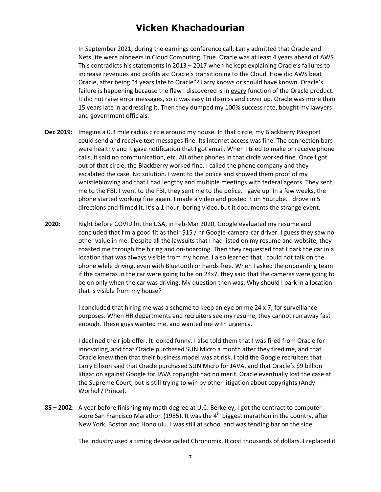In September 2021, during the earnings conference call, Larry admitted that Oracle and Netsuite were pioneers in Cloud Computing. True. Oracle was at least 4 years ahead of AWS. This contradicts his statements in 2013 – 2017 when he kept explaining Oracle's failures to increase revenues and profits as: Oracle's transitioning to the Cloud. How did AWS beat Oracle, after being "4 years late to Oracle"? Larry knows or should have known. Oracle's failure is happening because the flaw I discovered is in every function of the Oracle product. It did not raise error messages, so it was easy to dismiss and cover up. Oracle was more than 15 years late in addressing it. Then they dumped my 100% success rate, bought my lawyers and government officials.

- **Dec 2019:** Imagine a 0.3 mile radius circle around my house. In that circle, my Blackberry Passport could send and receive text messages fine. Its internet access was fine. The connection bars were healthy and it gave notification that I got vmail. When I tried to make or receive phone calls, it said no communication, etc. All other phones in that circle worked fine. Once I got out of that circle, the Blackberry worked fine. I called the phone company and they escalated the case. No solution. I went to the police and showed them proof of my whistleblowing and that I had lengthy and multiple meetings with federal agents. They sent me to the FBI. I went to the FBI, they sent me to the police. I gave up. In a few weeks, the phone started working fine again. I made a video and posted it on Youtube. I drove in 5 directions and filmed it. It's a 1-hour, boring video, but it documents the strange event.
- **2020:** Right before COVID hit the USA, in Feb-Mar 2020, Google evaluated my resume and concluded that I'm a good fit as their \$15 / hr Google-camera-car driver. I guess they saw no other value in me. Despite all the lawsuits that I had listed on my resume and website, they coasted me through the hiring and on-boarding. Then they requested that I park the car in a location that was always visible from my home. I also learned that I could not talk on the phone while driving, even with Bluetooth or hands free. When I asked the onboarding team if the cameras in the car were going to be on 24x7, they said that the cameras were going to be on only when the car was driving. My question then was: Why should I park in a location that is visible from my house?

I concluded that hiring me was a scheme to keep an eye on me 24 x 7, for surveillance purposes. When HR departments and recruiters see my resume, they cannot run away fast enough. These guys wanted me, and wanted me with urgency.

I declined their job offer. It looked funny. I also told them that I was fired from Oracle for innovating, and that Oracle purchased SUN Micro a month after they fired me, and that Oracle knew then that their business model was at risk. I told the Google recruiters that Larry Ellison said that Oracle purchased SUN Micro for JAVA, and that Oracle's \$9 billion litigation against Google for JAVA copyright had no merit. Oracle eventually lost the case at the Supreme Court, but is still trying to win by other litigation about copyrights (Andy Worhol / Prince).

**85 – 2002:** A year before finishing my math degree at U.C. Berkeley, I got the contract to computer score San Francisco Marathon (1985). It was the  $4<sup>th</sup>$  biggest marathon in the country, after New York, Boston and Honolulu. I was still at school and was tending bar on the side.

The industry used a timing device called Chronomix. It cost thousands of dollars. I replaced it